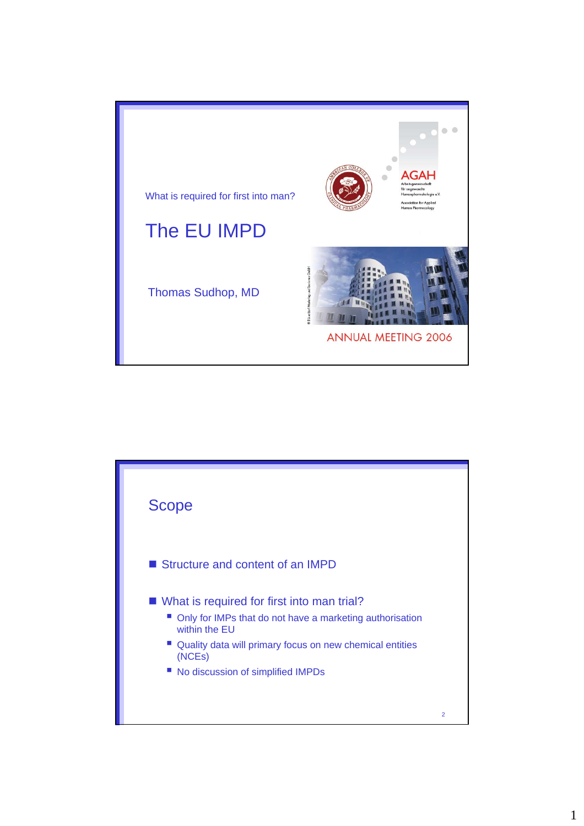

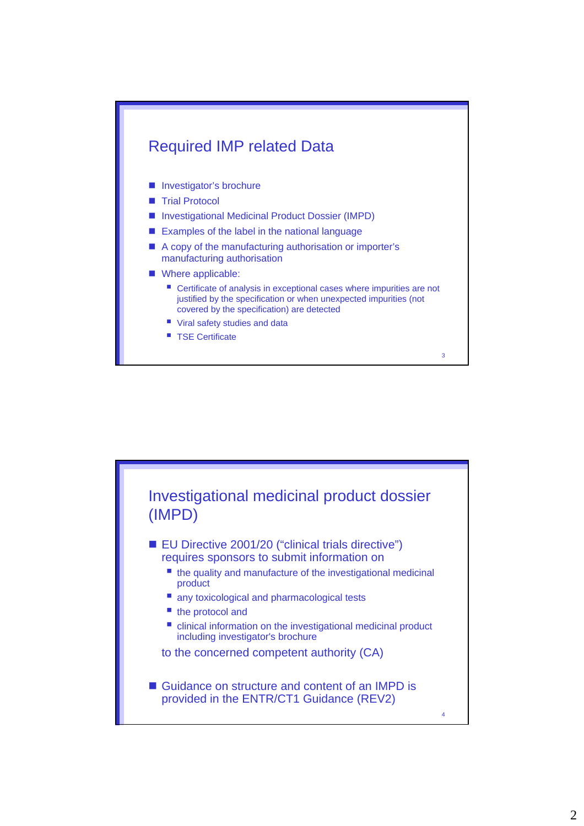

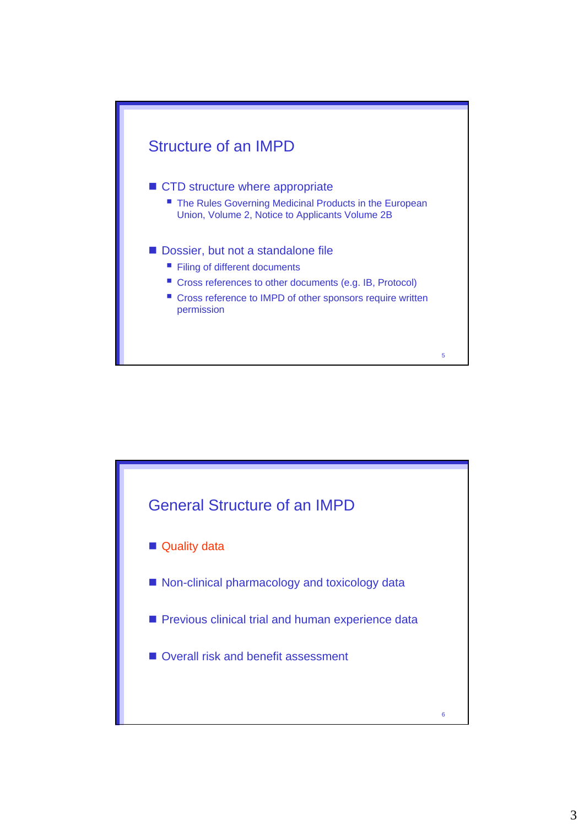

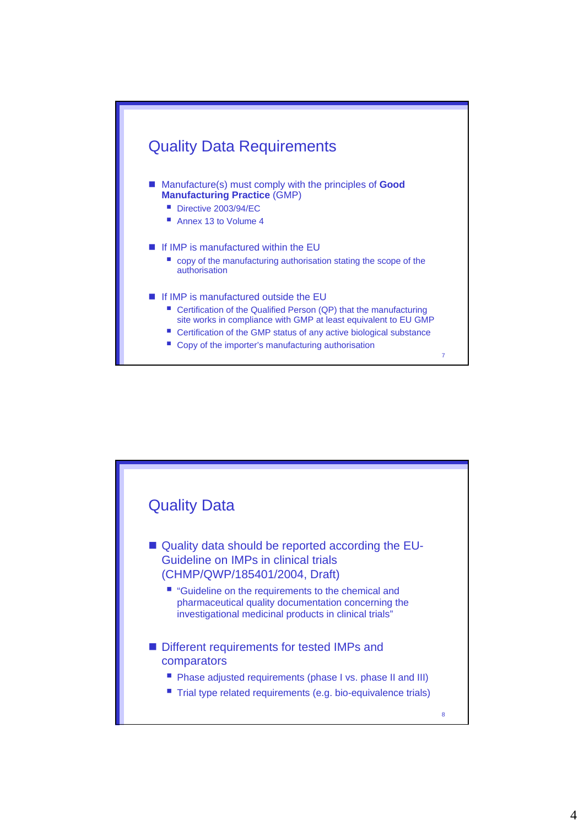

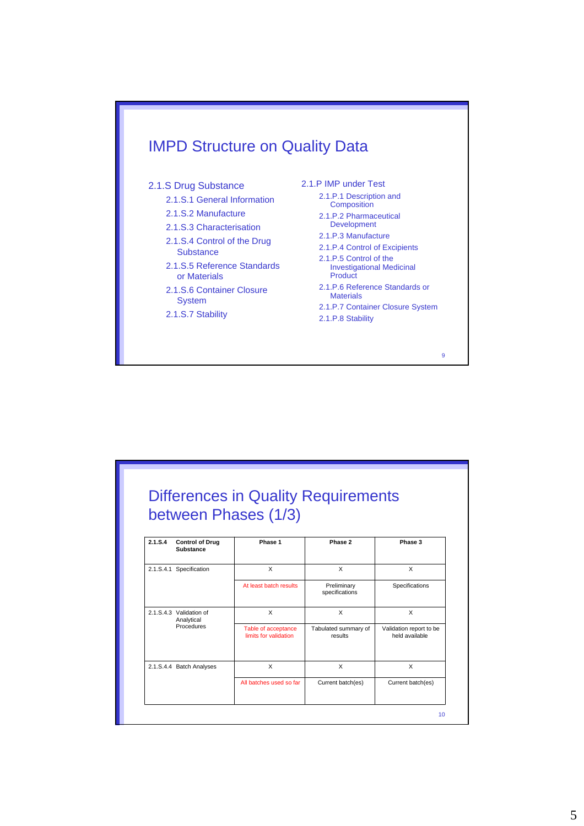

| between Phases (1/3) |                                            |                                              |                                 |                                           |
|----------------------|--------------------------------------------|----------------------------------------------|---------------------------------|-------------------------------------------|
| 2.1.S.4              | <b>Control of Drug</b><br><b>Substance</b> | Phase 1                                      | Phase 2                         | Phase 3                                   |
|                      | 2.1.S.4.1 Specification                    | X                                            | X                               | X                                         |
|                      |                                            | At least batch results                       | Preliminary<br>specifications   | Specifications                            |
|                      | 2.1.S.4.3 Validation of<br>Analytical      | X                                            | X                               | X                                         |
|                      | Procedures                                 | Table of acceptance<br>limits for validation | Tabulated summary of<br>results | Validation report to be<br>held available |
|                      | 2.1.S.4.4 Batch Analyses                   | X                                            | X                               | X                                         |
|                      |                                            | All batches used so far                      | Current batch(es)               | Current batch(es)                         |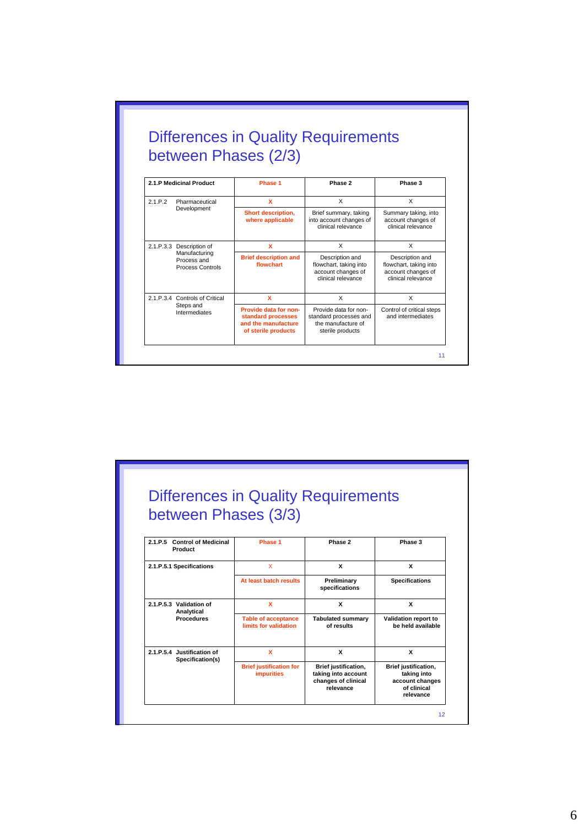|                         |                                                                              | between Phases (2/3)                                                                      |                                                                                           |                                                                                       |
|-------------------------|------------------------------------------------------------------------------|-------------------------------------------------------------------------------------------|-------------------------------------------------------------------------------------------|---------------------------------------------------------------------------------------|
| 2.1.P Medicinal Product |                                                                              | Phase 1                                                                                   | Phase 2                                                                                   | Phase 3                                                                               |
| 2.1.P.2                 | Pharmaceutical                                                               | x<br>$\times$                                                                             |                                                                                           | X                                                                                     |
|                         | Development                                                                  | Short description,<br>where applicable                                                    | Brief summary, taking<br>into account changes of<br>clinical relevance                    | Summary taking, into<br>account changes of<br>clinical relevance                      |
|                         | 2.1.P.3.3 Description of<br>Manufacturing<br>Process and<br>Process Controls | x                                                                                         | $\times$                                                                                  | X                                                                                     |
|                         |                                                                              | <b>Brief description and</b><br>flowchart                                                 | Description and<br>flowchart, taking into<br>account changes of<br>clinical relevance     | Description and<br>flowchart, taking into<br>account changes of<br>clinical relevance |
|                         | 2.1.P.3.4 Controls of Critical<br>Steps and<br>Intermediates                 | X                                                                                         | X                                                                                         | X                                                                                     |
|                         |                                                                              | Provide data for non-<br>standard processes<br>and the manufacture<br>of sterile products | Provide data for non-<br>standard processes and<br>the manufacture of<br>sterile products | Control of critical steps<br>and intermediates                                        |

## Differences in Quality Requirements between Phases (3/3)

| 2.1.P.5<br>Product       | <b>Control of Medicinal</b>          | Phase 1                                             | Phase 2                                                                                | Phase 3                                                                            |
|--------------------------|--------------------------------------|-----------------------------------------------------|----------------------------------------------------------------------------------------|------------------------------------------------------------------------------------|
| 2.1.P.5.1 Specifications |                                      | X                                                   | x                                                                                      |                                                                                    |
|                          |                                      | At least batch results                              | Preliminary<br>specifications                                                          | <b>Specifications</b>                                                              |
| 2.1.P.5.3 Validation of  | Analytical                           | x                                                   | x                                                                                      | x                                                                                  |
|                          | <b>Procedures</b>                    | <b>Table of acceptance</b><br>limits for validation | <b>Tabulated summary</b><br>of results                                                 | Validation report to<br>he held available                                          |
| 2.1. P.5.4               | Justification of<br>Specification(s) | x                                                   | x                                                                                      | x                                                                                  |
|                          |                                      | <b>Brief justification for</b><br><b>impurities</b> | <b>Brief justification,</b><br>taking into account<br>changes of clinical<br>relevance | Brief justification,<br>taking into<br>account changes<br>of clinical<br>relevance |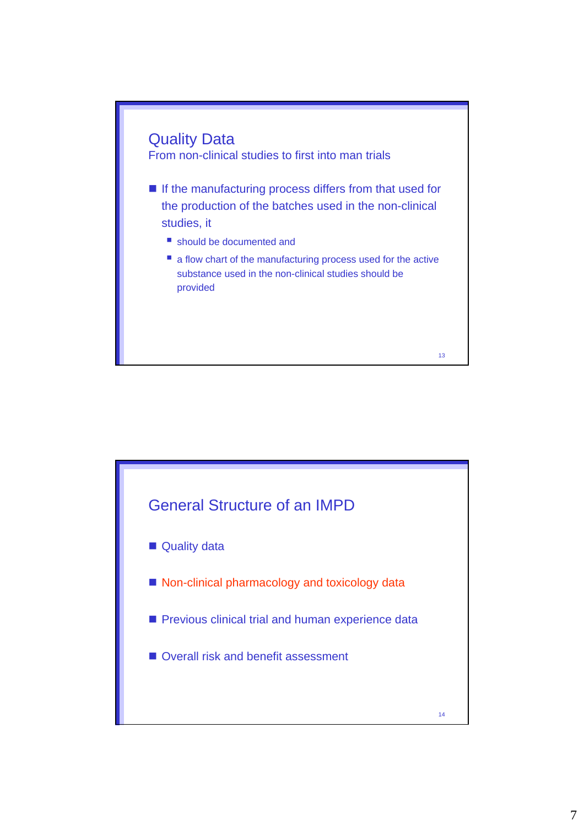

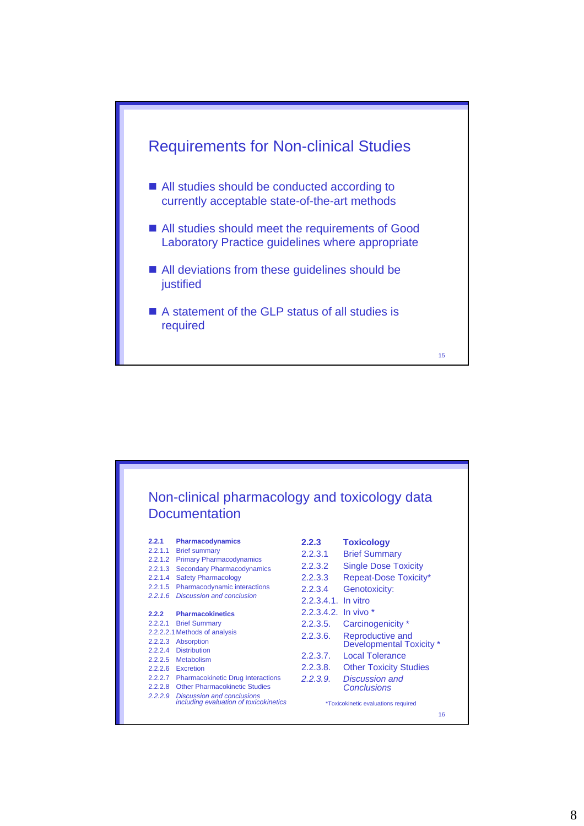

|         |                                                                           |                        | Non-clinical pharmacology and toxicology data |
|---------|---------------------------------------------------------------------------|------------------------|-----------------------------------------------|
|         | <b>Documentation</b>                                                      |                        |                                               |
| 2.2.1   | <b>Pharmacodynamics</b>                                                   | 2.2.3                  | <b>Toxicology</b>                             |
| 2.2.1.1 | <b>Brief summary</b>                                                      | 2.2.3.1                | <b>Brief Summary</b>                          |
|         | 2.2.1.2 Primary Pharmacodynamics                                          | 2.2.3.2                | <b>Single Dose Toxicity</b>                   |
| 2.2.1.3 | <b>Secondary Pharmacodynamics</b>                                         |                        |                                               |
| 2.2.1.4 | <b>Safety Pharmacology</b>                                                | 2.2.3.3                | Repeat-Dose Toxicity*                         |
|         | 2.2.1.5 Pharmacodynamic interactions<br>2.2.1.6 Discussion and conclusion | 2.2.3.4                | Genotoxicity:                                 |
|         |                                                                           | 2.2.3.4.1. In vitro    |                                               |
| 2.2.2   | <b>Pharmacokinetics</b>                                                   | 2.2.3.4.2. In vivo $*$ |                                               |
| 2.2.2.1 | <b>Brief Summary</b>                                                      | 2.2.3.5.               | Carcinogenicity *                             |
|         | 2.2.2.2.1 Methods of analysis                                             | 2.2.3.6.               | Reproductive and                              |
| 2.2.2.3 | <b>Absorption</b>                                                         |                        | Developmental Toxicity *                      |
| 2224    | <b>Distribution</b>                                                       | 2.2.3.7.               | <b>Local Tolerance</b>                        |
| 2.2.2.5 | Metabolism                                                                |                        |                                               |
|         | 2.2.2.6 Excretion                                                         | 2.2.3.8.               | <b>Other Toxicity Studies</b>                 |
|         | 2.2.2.7 Pharmacokinetic Drug Interactions                                 | 2.2.3.9                | Discussion and                                |
|         | 2.2.2.8 Other Pharmacokinetic Studies                                     |                        | Conclusions                                   |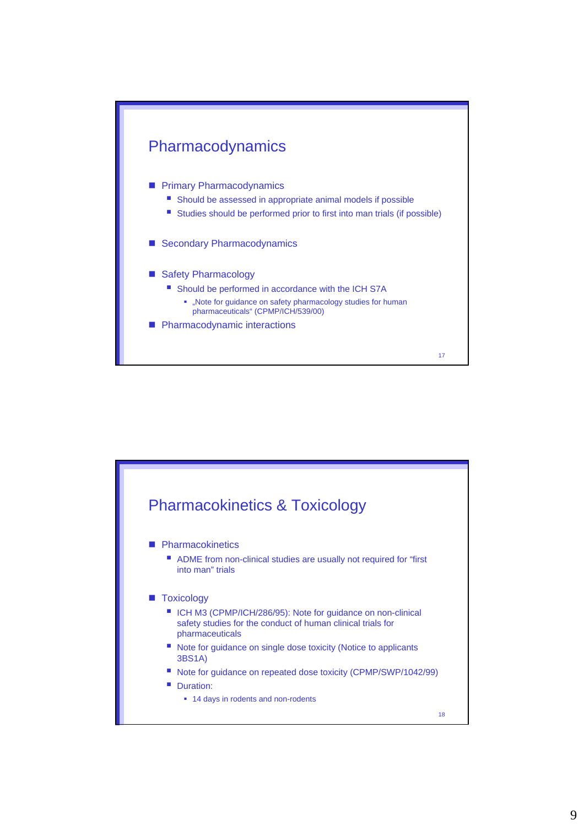

## **Primary Pharmacodynamics**

- Should be assessed in appropriate animal models if possible
- Studies should be performed prior to first into man trials (if possible)
- Secondary Pharmacodynamics
- Safety Pharmacology
	- Should be performed in accordance with the ICH S7A
		- . "Note for guidance on safety pharmacology studies for human pharmaceuticals" (CPMP/ICH/539/00)
- **Pharmacodynamic interactions**



17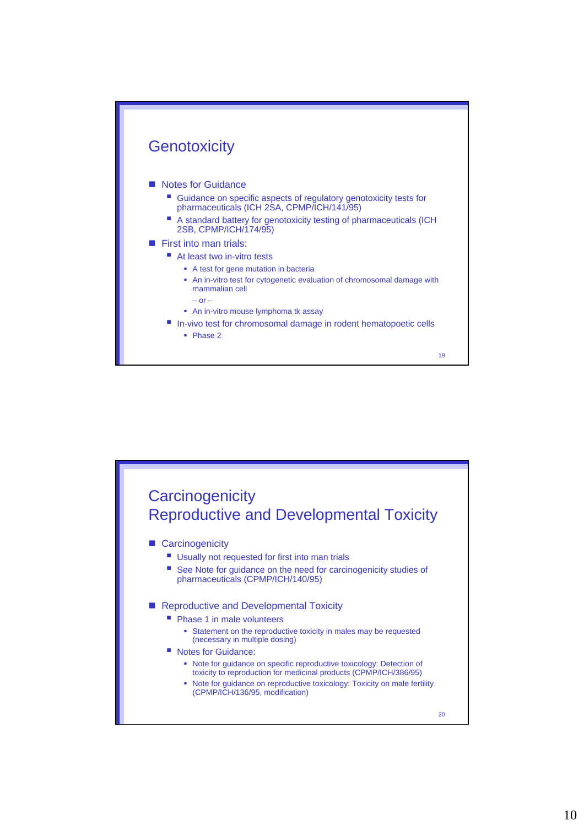

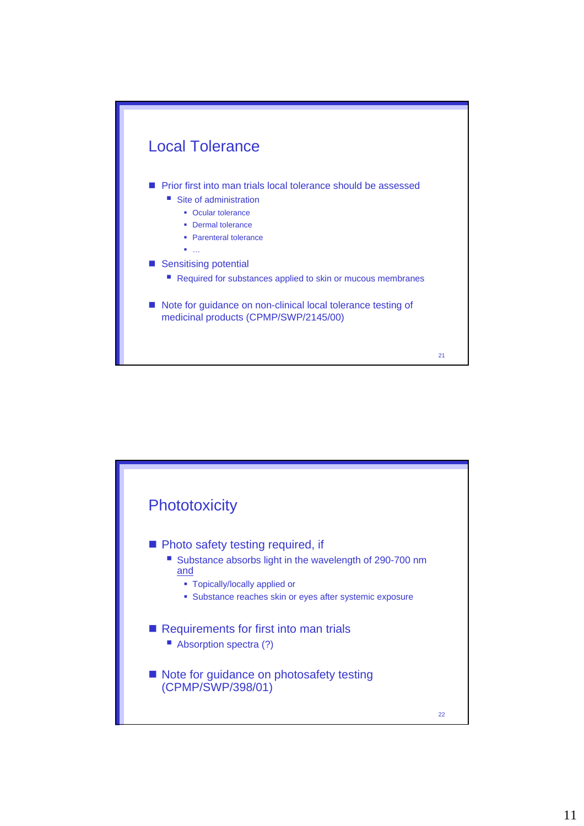

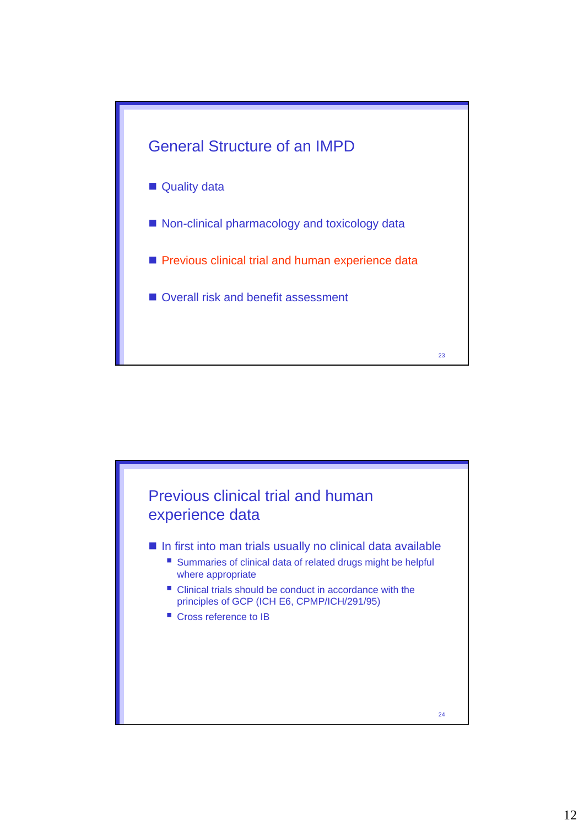